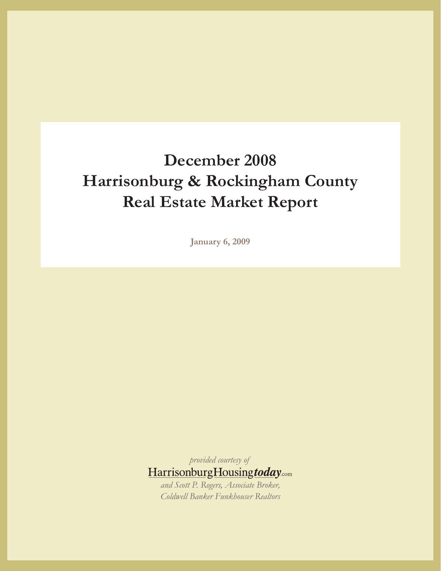# **December 2008 Harrisonburg & Rockingham County Real Estate Market Report**

**January 6, 2009**

*provided courtesy of* HarrisonburgHousingtoday.com *and Scott P. Rogers, Associate Broker,* 

*Coldwell Banker Funkhouser Realtors*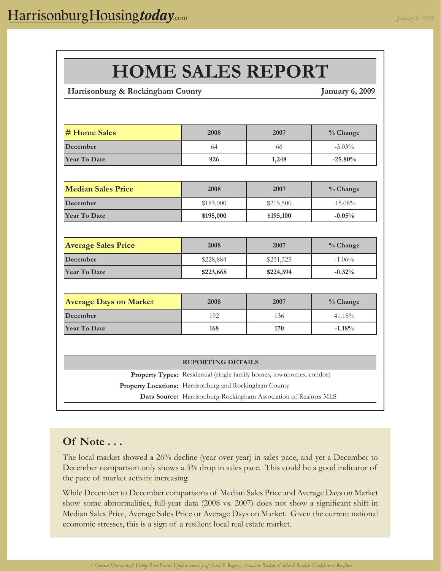## logo.indd 1 7/28/2008 3:10:30 PM  **Harrisonburg & Rockingham County January 6, 2009 # Home Sales 2008 2007 % Change December** 64 66 -3.03% **Year To Date 926 1,248 -25.80% Median Sales Price 2008 2007 % Change December 15.08% 16.08% 16.08% 16.08% 16.08% 16.08% 16.08% Year To Date \$195,000 \$195,100 -0.05% Average Sales Price 2008 2007 % Change December** 1.06% **8228,884 \$228,884 \$231,325** -1.06% **Year To Date \$223,668 \$224,394 -0.32% Average Days on Market 2008 2007 % Change December** 192 136 41.18% **Year To Date 168 170 -1.18%** Property Types: Residential (single family homes, townhomes, condos) **Property Locations:**  Harrisonburg and Rockingham County **Data Source:** Harrisonburg-Rockingham Association of Realtors MLS **HOME SALES REPORT REPORTING DETAILS**

#### **Of Note . . .**

The local market showed a 26% decline (year over year) in sales pace, and yet a December to December comparison only shows a 3% drop in sales pace. This could be a good indicator of the pace of market activity increasing.

While December to December comparisons of Median Sales Price and Average Days on Market show some abnormalities, full-year data (2008 vs. 2007) does not show a significant shift in Median Sales Price, Average Sales Price or Average Days on Market. Given the current national economic stresses, this is a sign of a resilient local real estate market.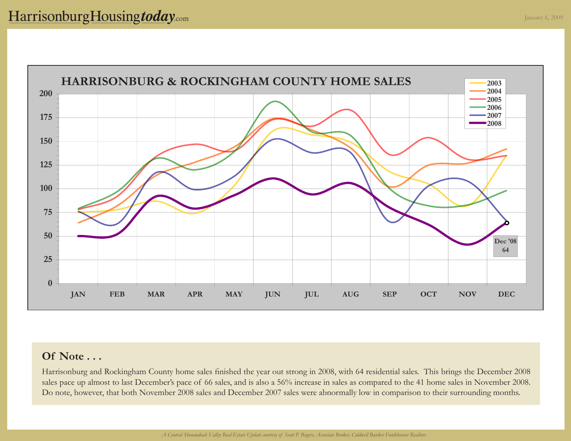

Harrisonburg and Rockingham County home sales finished the year out strong in 2008, with 64 residential sales. This brings the December 2008 sales pace up almost to last December's pace of 66 sales, and is also a 56% increase in sales as compared to the 41 home sales in November 2008. Do note, however, that both November 2008 sales and December 2007 sales were abnormally low in comparison to their surrounding months.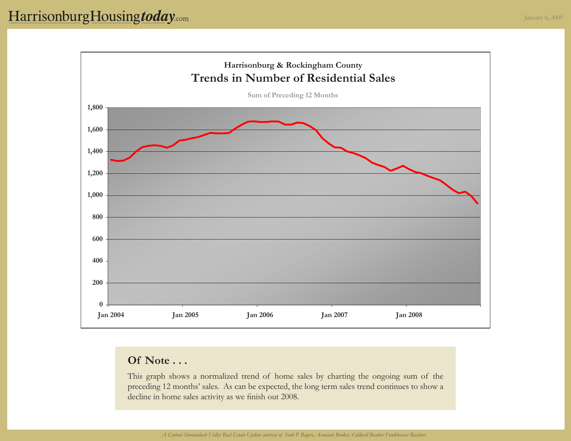

This graph shows a normalized trend of home sales by charting the ongoing sum of the preceding 12 months' sales. As can be expected, the long term sales trend continues to show a decline in home sales activity as we finish out 2008.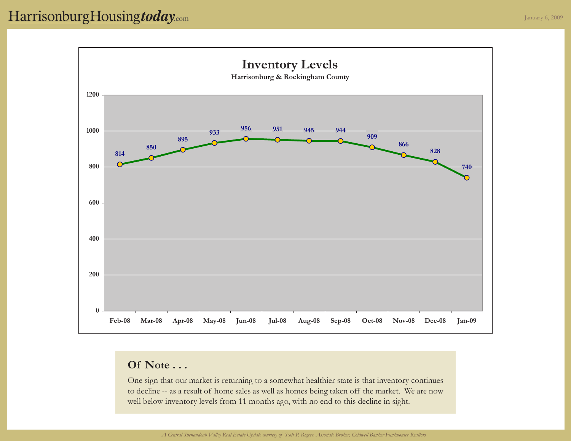

One sign that our market is returning to a somewhat healthier state is that inventory continues to decline -- as a result of home sales as well as homes being taken off the market. We are now well below inventory levels from 11 months ago, with no end to this decline in sight.